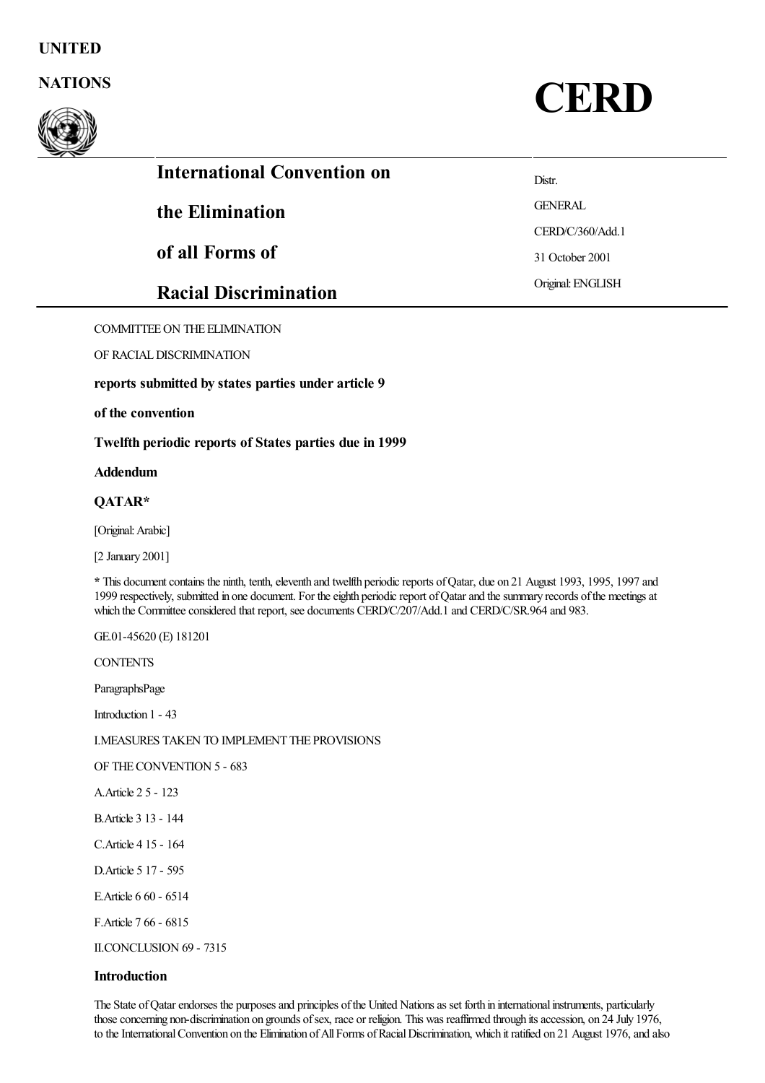# UNITED



NATIONS CERD

| <b>International Convention on</b> | Distr.            |
|------------------------------------|-------------------|
| the Elimination                    | <b>GENERAL</b>    |
|                                    | CERD/C/360/Add.1  |
| of all Forms of                    | 31 October 2001   |
| <b>Racial Discrimination</b>       | Original: ENGLISH |
|                                    |                   |

COMMITTEEON THE ELIMINATION

OF RACIALDISCRIMINATION

reports submitted by states parties under article 9

# of the convention

Twelfth periodic reports of States parties due in 1999

# Addendum

# QATAR\*

[Original:Arabic]

[2 January 2001]

\* This document contains the ninth, tenth, eleventh and twelfth periodic reports of Qatar, due on 21 August 1993, 1995, 1997 and 1999 respectively, submitted in one document. For the eighth periodic report of Qatar and the summary records of the meetings at which the Committee considered that report, see documents CERD/C/207/Add.1 and CERD/C/SR.964 and 983.

GE.01-45620 (E) 181201

**CONTENTS** 

ParagraphsPage

Introduction 1 - 43

I.MEASURES TAKEN TO IMPLEMENT THE PROVISIONS

OF THECONVENTION 5 - 683

A.Article 2 5 - 123

B.Article 3 13 - 144

- C.Article 4 15 164
- D.Article 5 17 595
- E.Article 6 60 6514
- F.Article 7 66 6815

II.CONCLUSION 69 - 7315

### **Introduction**

The State of Qatar endorses the purposes and principles of the United Nations as set forth in international instruments, particularly those concerning non-discrimination on grounds of sex, race or religion. This was reaffirmed through its accession, on 24 July 1976, to the International Convention on the Elimination of All Forms of Racial Discrimination, which it ratified on 21 August 1976, and also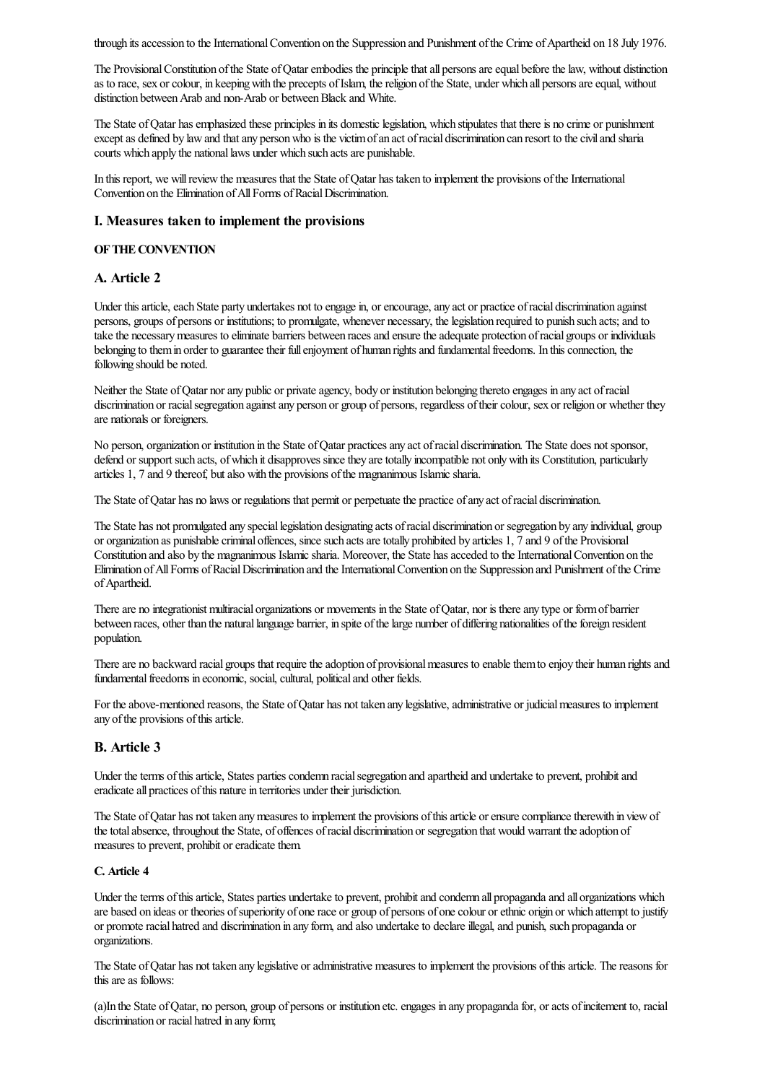through its accession to the International Convention on the Suppression and Punishment of the Crime of Apartheid on 18 July 1976.

The Provisional Constitution of the State of Qatar embodies the principle that all persons are equal before the law, without distinction as to race, sex or colour, in keeping with the precepts of Islam, the religion of the State, under which all persons are equal, without distinction between Arab and non-Arab or between Black and White.

The State of Qatar has emphasized these principles in its domestic legislation, which stipulates that there is no crime or punishment except as defined by law and that any person who is the victim of an act of racial discrimination can resort to the civil and sharia courts which apply the national laws under which such acts are punishable.

In this report, we will review the measures that the State of Oatar has taken to implement the provisions of the International Convention on the Elimination of All Forms of Racial Discrimination.

## I. Measures taken to implement the provisions

#### OFTHECONVENTION

# A. Article 2

Under this article, each State party undertakes not to engage in, or encourage, any act or practice of racial discrimination against persons, groups of persons or institutions; to promulgate, whenever necessary, thelegislation required to punish such acts;and to take the necessary measures to eliminate barriers between races and ensure the adequate protection of racial groups or individuals belonging to them in order to guarantee their full enjoyment of human rights and fundamental freedoms. In this connection, the following should be noted.

Neither the State of Qatar nor any public or private agency, body or institution belonging thereto engages in any act of racial discrimination or racial segregation against any person or group of persons, regardless of their colour, sex or religion or whether they are nationals or foreigners.

No person, organization or institution in the State ofQatar practicesany act ofracial discrimination. The State does notsponsor, defend or support such acts, of which it disapproves since they are totally incompatible not only with its Constitution, particularly articles 1, 7 and 9 thereof, but also with the provisions of the magnanimous Islamic sharia.

The State of Qatar has no laws or regulations that permit or perpetuate the practice of any act of racial discrimination.

The State has not promulgated any speciallegislation designating acts ofracial discrimination or segregation by any individual, group or organization as punishable criminal offences, since such acts are totally prohibited by articles 1, 7 and 9 of the Provisional Constitution and also by the magnanimous Islamic sharia. Moreover, the State has acceded to the International Convention on the Elimination of All Forms of Racial Discrimination and the International Convention on the Suppression and Punishment of the Crime of Apartheid.

There are no integrationist multiracial organizations or movements in the State of Qatar, nor is there any type or form of barrier between races, other than the natural language barrier, in spite of the large number of differing nationalities of the foreign resident population.

There are no backward racial groups that require the adoption of provisional measures to enable them to enjoy their human rights and fundamental freedoms in economic, social, cultural, political and other fields.

For the above-mentioned reasons, the State of Qatar has not taken any legislative, administrative or judicial measures to implement any of the provisions of this article.

# B. Article 3

Under the terms of this article, States parties condemn racial segregation and apartheid and undertake to prevent, prohibit and eradicate all practices of this nature in territories under their jurisdiction.

The State of Qatar has not taken any measures to implement the provisions of this article or ensure compliance therewith in view of the total absence, throughout the State, of offences of racial discrimination or segregation that would warrant the adoption of measures to prevent, prohibit or eradicate them.

# C. Article 4

Under the terms of this article, States parties undertake to prevent, prohibit and condemn all propaganda and all organizations which are based on ideas or theories of superiority of one race or group of persons of one colour or ethnic origin or which attempt to justify or promote racial hatred and discrimination in any form, and also undertake to declare illegal, and punish, such propaganda or organizations.

The State of Qatar has not taken any legislative or administrative measures to implement the provisions of this article. The reasons for this are as follows:

(a)In the State ofQatar, no person, group of persons or institution etc.engages in any propagandafor, oracts ofincitement to, racial discrimination or racial hatred in any form;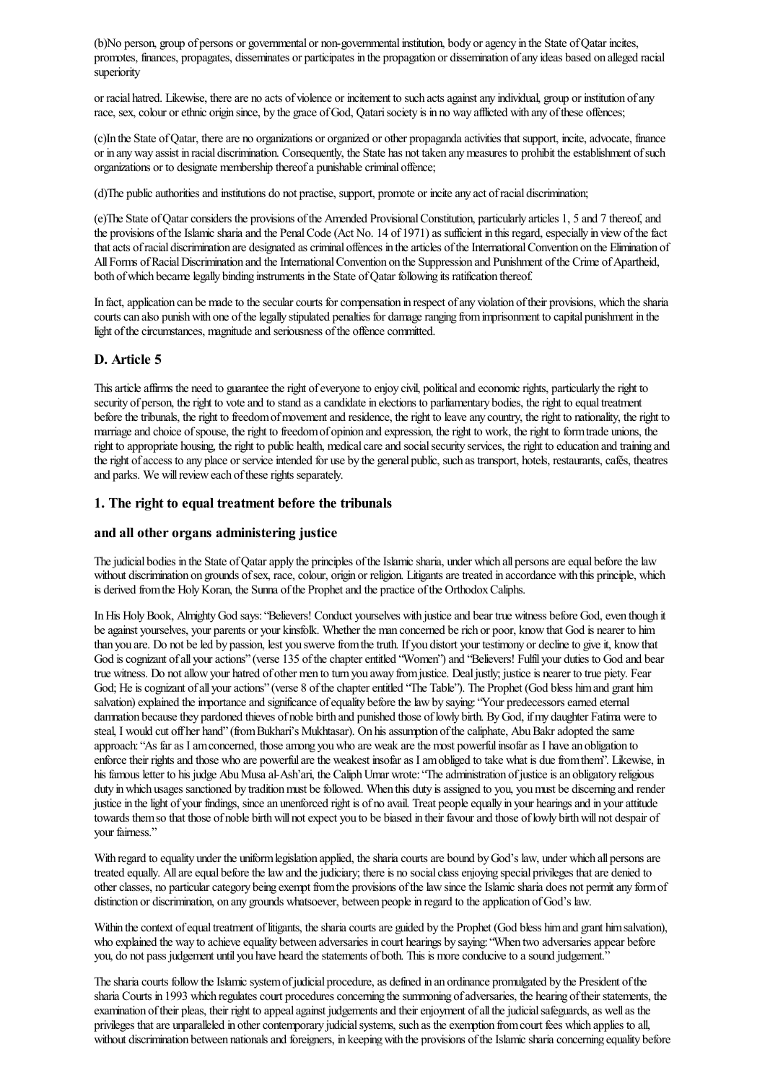(b)No person, group of persons or governmental or non-governmentalinstitution, body oragency in the State ofQatar incites, promotes, finances, propagates, disseminates or participates in the propagation or dissemination ofany ideas based on alleged racial superiority

or racial hatred. Likewise, there are no acts of violence or incitement to such acts against any individual, group or institution of any race, sex, colour or ethnic origin since, by the grace of God, Qatari society is in no way afflicted with any of these offences;

(c)In the State of Qatar, there are no organizations or organized or other propaganda activities that support, incite, advocate, finance or in any way assist in racial discrimination. Consequently, the State has not taken any measures to prohibit the establishment of such organizations or to designate membership thereof a punishable criminal offence;

(d)The publicauthoritiesand institutions do not practise, support, promote or inciteany act ofracial discrimination;

(e)The State ofQatarconsiders the provisions ofthe Amended ProvisionalConstitution, particularly articles 1, 5 and 7 thereof,and the provisions of the Islamic sharia and the Penal Code (Act No. 14 of 1971) as sufficient in this regard, especially in view of the fact that acts of racial discrimination are designated as criminal offences in the articles of the International Convention on the Elimination of All Forms of Racial Discrimination and the International Convention on the Suppression and Punishment of the Crime of Apartheid, both of which became legally binding instruments in the State of Oatar following its ratification thereof.

In fact, application can be made to the secular courts for compensation in respect of any violation of their provisions, which the sharia courts can also punish with one of the legally stipulated penalties for damage ranging from imprisonment to capital punishment in the light of the circumstances, magnitude and seriousness of the offence committed.

# D. Article 5

This article affirms the need to guarantee the right of everyone to enjoy civil, political and economic rights, particularly the right to security of person, the right to vote and to stand as a candidate in elections to parliamentary bodies, the right to equal treatment before the tribunals, the right to freedom of movement and residence, the right to leave any country, the right to nationality, the right to marriage and choice of spouse, the right to freedom of opinion and expression, the right to work, the right to form trade unions, the right to appropriate housing, the right to public health, medical care and social security services, the right to education and training and the right of access to any place or service intended for use by the general public, such as transport, hotels, restaurants, cafés, theatres and parks. We will review each of these rights separately.

# 1. The right to equal treatment before the tribunals

# and all other organs administering justice

The judicial bodies in the State of Qatar apply the principles of the Islamic sharia, under which all persons are equal before the law without discrimination on grounds of sex, race, colour, origin or religion. Litigants are treated in accordance with this principle, which is derived from the Holy Koran, the Sunna of the Prophet and the practice of the Orthodox Caliphs.

In His Holy Book, Almighty God says: "Believers! Conduct yourselves with justice and bear true witness before God, even though it be against yourselves, your parents or your kinsfolk. Whether the man concerned be rich or poor, know that God is nearer to him than you are. Do not be led by passion, lest you swerve from the truth. If you distort your testimony or decline to give it, know that God is cognizant of all your actions" (verse 135 of the chapter entitled "Women") and "Believers! Fulfil your duties to God and bear true witness. Do notallowyour hatred of other men to turn you away fromjustice. Dealjustly; justiceis nearer to true piety. Fear God; He is cognizant of all your actions" (verse 8 of the chapter entitled "The Table"). The Prophet (God bless him and grant him salvation) explained the importance and significance of equality before the law by saying: "Your predecessors earned eternal damnation because they pardoned thieves of noble birth and punished those of lowly birth. By God, if my daughter Fatima were to steal, I would cut off her hand" (from Bukhari's Mukhtasar). On his assumption of the caliphate, Abu Bakr adopted the same approach: "As far as I am concerned, those among you who are weak are the most powerful insofar as I have an obligation to enforce their rights and those who are powerful are the weakest insofar as I am obliged to take what is due from them". Likewise, in his famous letter to his judge Abu Musa al-Ash'ari, the Caliph Umar wrote: "The administration of justice is an obligatory religious duty in which usages sanctioned by tradition must be followed. When this duty is assigned to you, you must be discerning and render justice in the light of your findings, since an unenforced right is of no avail. Treat people equally in your hearings and in your attitude towards them so that those of noble birth will not expect you to be biased in their favour and those of lowly birth will not despair of your fairness."

With regard to equality under the uniform legislation applied, the sharia courts are bound by God's law, under which all persons are treated equally. All are equal before the law and the judiciary; there is no social class enjoying special privileges that are denied to other classes, no particular category being exempt from the provisions of the law since the Islamic sharia does not permit any form of distinction or discrimination, on any grounds whatsoever, between people in regard to the application of God's law.

Within the context of equal treatment of litigants, the sharia courts are guided by the Prophet (God bless him and grant him salvation), who explained the way to achieve equality between adversaries in court hearings by saying: "When two adversaries appear before you, do not pass judgement until you have heard the statements of both. This is more conducive to a sound judgement."

The sharia courts follow the Islamic system of judicial procedure, as defined in an ordinance promulgated by the President of the sharia Courts in 1993 which regulates court procedures concerning the summoning of adversaries, the hearing of their statements, the examination of their pleas, their right to appeal against judgements and their enjoyment of all the judicial safeguards, as well as the privileges that are unparalleled in other contemporary judicial systems, such as the exemption from court fees which applies to all, without discrimination between nationals and foreigners, in keeping with the provisions of the Islamic sharia concerning equality before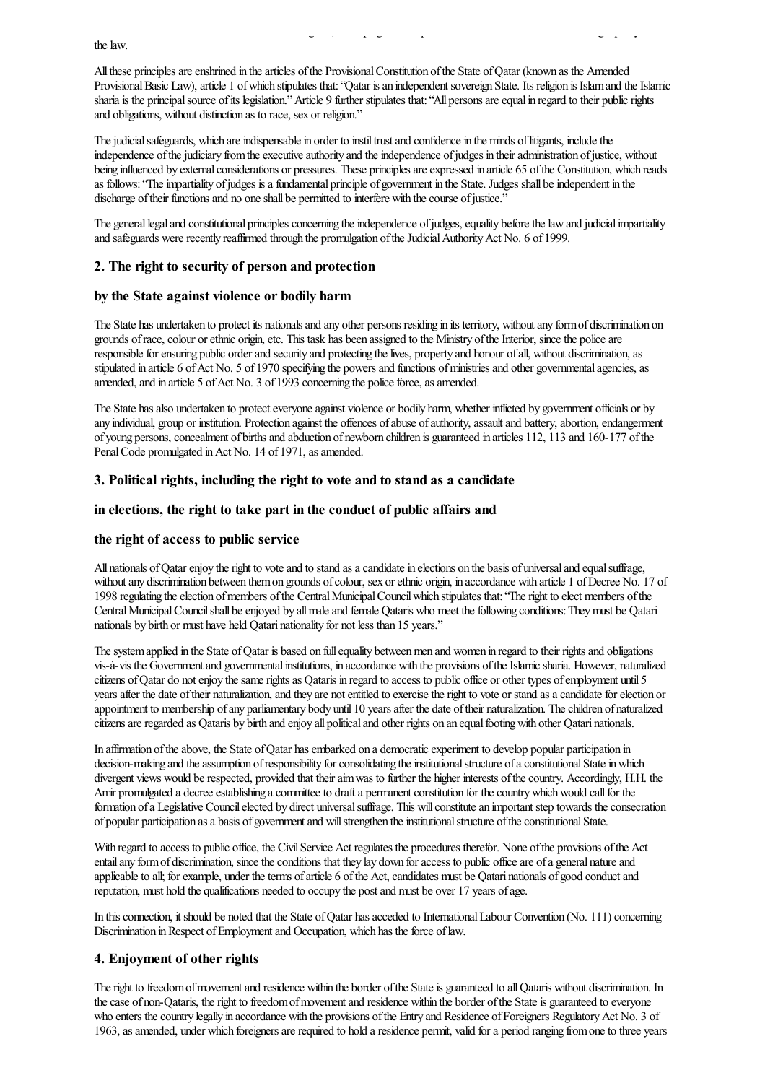All these principles are enshrined in the articles of the Provisional Constitution of the State of Qatar (known as the Amended Provisional Basic Law), article 1 of which stipulates that: "Qatar is an independent sovereign State. Its religion is Islam and the Islamic sharia is the principal source of its legislation." Article 9 further stipulates that: "All persons are equal in regard to their public rights and obligations, without distinction as to race, sex or religion."

without discrimination between nationalsand foreigners, in keepingwith the provisions oftheIslamicshariaconcerning equality before

The judicial safeguards, which are indispensable in order to instil trust and confidence in the minds of litigants, include the independence of the judiciary from the executive authority and the independence of judges in their administration of justice, without being influenced by external considerations or pressures. These principles are expressed in article 65 of the Constitution, which reads as follows: "The impartiality of judges is a fundamental principle of government in the State. Judges shall be independent in the discharge of their functions and no one shall be permitted to interfere with the course of justice."

The general legal and constitutional principles concerning the independence of judges, equality before the law and judicial impartiality and safeguards were recently reaffirmed through the promulgation of the Judicial Authority Act No. 6 of 1999.

## 2. The right to security of person and protection

# by the State against violence or bodily harm

The State has undertaken to protect its nationals and any other persons residing in its territory, without any form of discrimination on grounds of race, colour or ethnic origin, etc. This task has been assigned to the Ministry of the Interior, since the police are responsible for ensuring public order and security and protecting the lives, property and honour of all, without discrimination, as stipulated in article 6 of Act No. 5 of 1970 specifying the powers and functions of ministries and other governmental agencies, as amended, and in article 5 of Act No. 3 of 1993 concerning the police force, as amended.

The State has also undertaken to protect everyone against violence or bodily harm, whether inflicted by government officials or by any individual, group or institution. Protection against the offences of abuse of authority, assault and battery, abortion, endangerment of young persons, concealment of births and abduction of newborn children is guaranteed in articles 112, 113 and 160-177 of the Penal Code promulgated in Act No. 14 of 1971, as amended.

# 3. Political rights, including the right to vote and to stand as a candidate

### in elections, the right to take part in the conduct of public affairs and

#### the right of access to public service

All nationals of Qatar enjoy the right to vote and to stand as a candidate in elections on the basis of universal and equal suffrage, without any discrimination between them on grounds of colour, sex or ethnic origin, in accordance with article 1 of Decree No. 17 of 1998 regulating the election of members of the Central Municipal Council which stipulates that: "The right to elect members of the Central Municipal Council shall be enjoyed by all male and female Qataris who meet the following conditions: They must be Qatari nationals by birth or must have held Qatari nationality for not less than 15 years."

The system applied in the State of Qatar is based on full equality between men and women in regard to their rights and obligations vis-à-vis the Governmentand governmentalinstitutions, in accordance with the provisions oftheIslamicsharia. However, naturalized citizens ofQatar do notenjoy thesamerightsas Qataris in regard to access to public office or other types ofemployment until 5 years after the date of their naturalization, and they are not entitled to exercise the right to vote or stand as a candidate for election or appointment to membership of any parliamentary body until 10 years after the date of their naturalization. The children of naturalized citizens are regarded as Qataris by birth and enjoy all political and other rights on an equal footing with other Qatari nationals.

In affirmation of the above, the State of Qatar has embarked on a democratic experiment to develop popular participation in decision-making and the assumption of responsibility for consolidating the institutional structure of a constitutional State in which divergent views would be respected, provided that their aim was to further the higher interests of the country. Accordingly, H.H. the Amir promulgated a decree establishing a committee to draft a permanent constitution for the country which would call for the formation of a Legislative Council elected by direct universal suffrage. This will constitute an important step towards the consecration of popular participation asa basis of governmentand willstrengthen theinstitutionalstructure oftheconstitutionalState.

With regard to access to public office, the Civil Service Act regulates the procedures therefor. None of the provisions of the Act entail any form of discrimination, since the conditions that they lay down for access to public office are of a general nature and applicable to all; for example, under the terms of article 6 of the Act, candidates must be Qatari nationals of good conduct and reputation, must hold the qualifications needed to occupy the postand must be over 17 years ofage.

In this connection, it should be noted that the State of Qatar has acceded to International Labour Convention (No. 111) concerning Discrimination in Respect of Employment and Occupation, which has the force of law.

# 4. Enjoyment of other rights

The right to freedom of movement and residence within the border of the State is guaranteed to all Qataris without discrimination. In the case of non-Qataris, the right to freedom of movement and residence within the border of the State is guaranteed to everyone who enters the country legally in accordance with the provisions of the Entry and Residence of Foreigners Regulatory Act No. 3 of 1963, as amended, under which foreigners are required to hold a residence permit, valid for a period ranging from one to three years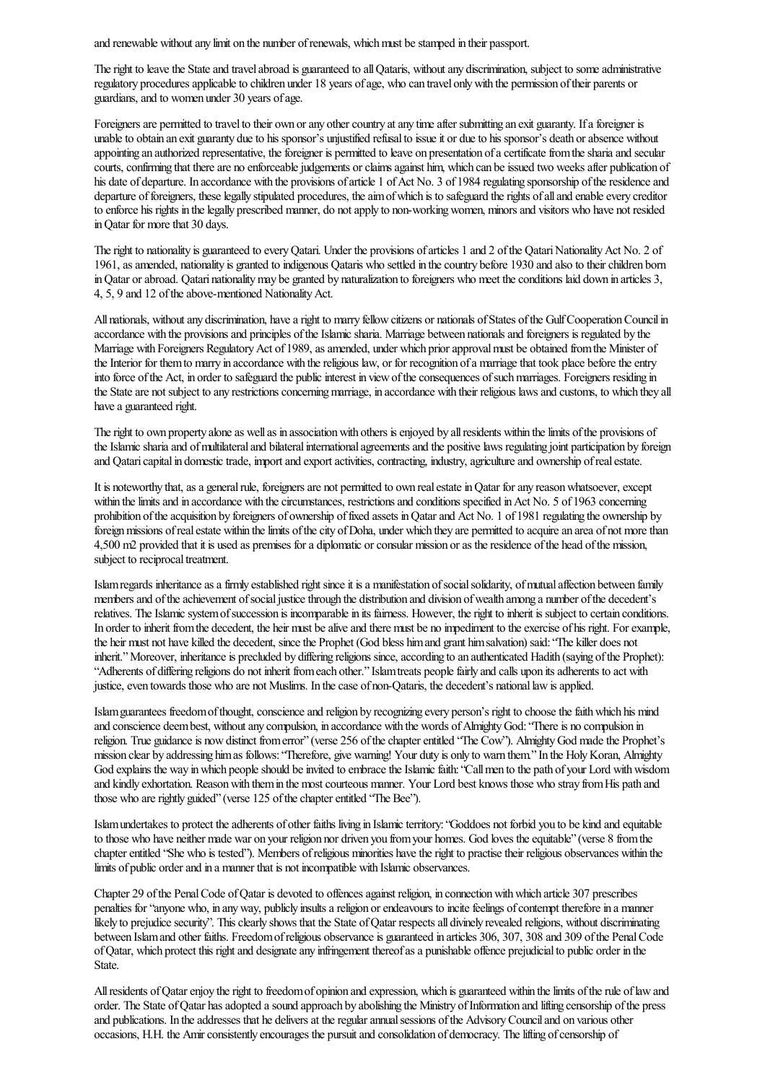and renewable without any limit on the number of renewals, which must be stamped in their passport.

The right to leave the State and travel abroad is guaranteed to all Qataris, without any discrimination, subject to some administrative regulatory procedures applicable to children under 18 years of age, who can travel only with the permission of their parents or guardians, and to women under 30 years of age.

Foreigners are permitted to travel to their own or any other country at any time after submitting an exit guaranty. If a foreigner is unable to obtain an exit guaranty due to his sponsor's unjustified refusal to issue it or due to his sponsor's death or absence without appointing an authorized representative, the foreigner is permitted to leave on presentation of a certificate from the sharia and secular courts, confirming that there are no enforceable judgements or claims against him, which can be issued two weeks after publication of his date of departure. In accordance with the provisions of article 1 of Act No. 3 of 1984 regulating sponsorship of the residence and departure of foreigners, these legally stipulated procedures, the aim of which is to safeguard the rights of all and enable every creditor to enforce his rights in the legally prescribed manner, do not apply to non-working women, minors and visitors who have not resided in Qatar for more that 30 days.

The right to nationality is guaranteed to every Qatari. Under the provisions of articles 1 and 2 of the Qatari Nationality Act No. 2 of 1961, as amended, nationality is granted to indigenous Qataris who settled in the country before 1930 and also to their children born in Qatar or abroad. Qatari nationality may be granted by naturalization to foreigners who meet the conditions laid down in articles 3, 4, 5, 9 and 12 of the above-mentioned Nationality Act.

All nationals, without any discrimination, have a right to marry fellow citizens or nationals of States of the Gulf Cooperation Council in accordance with the provisions and principles of the Islamic sharia. Marriage between nationals and foreigners is regulated by the Marriage with Foreigners Regulatory Act of 1989, as amended, under which prior approval must be obtained from the Minister of the Interior for them to marry in accordance with the religious law, or for recognition of a marriage that took place before the entry into force of the Act, in order to safeguard the public interest in view of the consequences of such marriages. Foreigners residing in the State are not subject to any restrictions concerning marriage, in accordance with their religious laws and customs, to which they all have a guaranteed right.

The right to own property alone as well as in association with others is enjoyed by all residents within the limits of the provisions of the Islamic sharia and of multilateral and bilateral international agreements and the positive laws regulating joint participation by foreign and Qatari capital in domestic trade, import and export activities, contracting, industry, agriculture and ownership of real estate.

It is noteworthy that, as a general rule, foreigners are not permitted to own real estate in Oatar for any reason whatsoever, except within the limits and in accordance with the circumstances, restrictions and conditions specified in Act No. 5 of 1963 concerning prohibition of the acquisition by foreigners of ownership of fixed assets in Qatar and Act No. 1 of 1981 regulating the ownership by foreign missions of real estate within the limits of the city of Doha, under which they are permitted to acquire an area of not more than 4,500 m2 provided that it is used as premises for a diplomatic or consular mission or as the residence of the head of the mission, subject to reciprocal treatment.

Islam regards inheritance as a firmly established right since it is a manifestation of social solidarity, of mutual affection between family members and of the achievement of social justice through the distribution and division of wealth among a number of the decedent's relatives. The Islamic system of succession is incomparable in its fairness. However, the right to inherit is subject to certain conditions. In order to inherit from the decedent, the heir must be alive and there must be no impediment to the exercise of his right. For example, the heir must not have killed the decedent, since the Prophet (God bless him and grant him salvation) said: "The killer does not inherit." Moreover, inheritance is precluded by differing religions since, according to an authenticated Hadith (saying of the Prophet): "Adherents of differing religions do not inherit from each other." Islam treats people fairly and calls upon its adherents to act with justice, even towards those who are not Muslims. In the case of non-Qataris, the decedent's national law is applied.

Islam guarantees freedom of thought, conscience and religion by recognizing every person's right to choose the faith which his mind and conscience deem best, without any compulsion, in accordance with the words of Almighty God: "There is no compulsion in religion. True guidance is now distinct from error" (verse 256 of the chapter entitled "The Cow"). Almighty God made the Prophet's mission clear by addressing him as follows: "Therefore, give warning! Your duty is only to warn them." In the Holy Koran, Almighty God explains the way in which people should be invited to embrace the Islamic faith: "Call men to the path of your Lord with wisdom and kindly exhortation. Reason with them in the most courteous manner. Your Lord best knows those who stray from His path and those who are rightly guided" (verse 125 of the chapter entitled "The Bee").

Islam undertakes to protect the adherents of other faiths living in Islamic territory: "Goddoes not forbid you to be kind and equitable to those who have neither made war on your religion nor driven you from your homes. God loves the equitable" (verse 8 from the chapter entitled "She who is tested"). Members of religious minorities have the right to practise their religious observances within the limits of public orderand in a manner that is not incompatible with Islamic observances.

Chapter 29 of the Penal Code of Qatar is devoted to offences against religion, in connection with which article 307 prescribes penalties for "anyone who, in any way, publicly insults a religion or endeavours to incite feelings of contempt therefore in a manner likely to prejudice security". This clearly shows that the State of Qatar respects all divinely revealed religions, without discriminating between Islam and other faiths. Freedom of religious observance is guaranteed in articles 306, 307, 308 and 309 of the Penal Code ofQatar, which protect this rightand designateany infringement thereofasa punishable offence prejudicialto public order in the State.

All residents of Qatar enjoy the right to freedom of opinion and expression, which is guaranteed within the limits of the rule of law and order. The State ofQatar hasadopted asound approach by abolishing the Ministry ofInformation and lifting censorship ofthe press and publications. In the addresses that he delivers at the regular annual sessions of the Advisory Council and on various other occasions, H.H. the Amir consistently encourages the pursuit and consolidation of democracy. The lifting of censorship of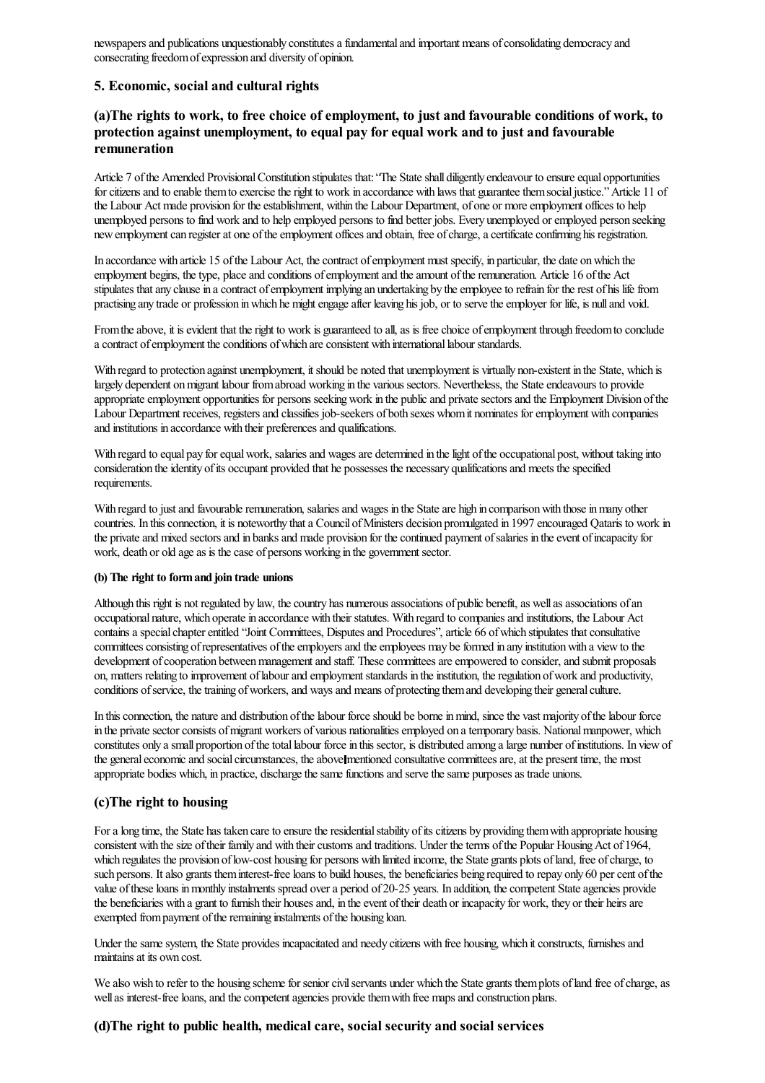newspapers and publications unquestionably constitutes a fundamental and important means of consolidating democracy and consecrating freedomofexpression and diversity of opinion.

# 5. Economic, social and cultural rights

# (a)The rights to work, to free choice of employment, to just and favourable conditions of work, to protection against unemployment, to equal pay forequal work and to just and favourable remuneration

Article 7 of the Amended Provisional Constitution stipulates that: "The State shall diligently endeavour to ensure equal opportunities for citizens and to enable them to exercise the right to work in accordance with laws that guarantee them social justice." Article 11 of the Labour Act made provision for the establishment, within the Labour Department, of one or more employment offices to help unemployed persons to find work and to help employed persons to find better jobs. Every unemployed oremployed person seeking new employment can register at one of the employment offices and obtain, free of charge, a certificate confirming his registration.

In accordance with article 15 of the Labour Act, the contract of employment must specify, in particular, the date on which the employment begins, the type, place and conditions of employment and the amount of the remuneration. Article 16 of the Act stipulates that any clause in a contract of employment implying an undertaking by the employee to refrain for the rest of his life from practising any trade or profession inwhich he mightengageafter leaving his job, or to servetheemployer for life, is nulland void.

From the above, it is evident that the right to work is guaranteed to all, as is free choice of employment through freedom to conclude a contract of employment the conditions of which are consistent with international labour standards.

With regard to protection against unemployment, it should be noted that unemployment is virtually non-existent in the State, which is largely dependent on migrant labour from abroad working in the various sectors. Nevertheless, the State endeavours to provide appropriate employment opportunities for persons seeking work in the public and private sectors and the Employment Division of the Labour Department receives, registers and classifies job-seekers of both sexes whom it nominates for employment with companies and institutions in accordance with their preferences and qualifications.

With regard to equal pay for equal work, salaries and wages are determined in the light of the occupational post, without taking into consideration the identity of its occupant provided that he possesses the necessary qualifications and meets the specified requirements.

With regard to just and favourable remuneration, salaries and wages in the State are high in comparison with those in many other countries. In this connection, it is noteworthy that a Council of Ministers decision promulgated in 1997 encouraged Qataris to work in the private and mixed sectors and in banks and made provision for the continued payment of salaries in the event of incapacity for work, death or old age as is the case of persons working in the government sector.

#### (b) The right to formand join trade unions

Although this right is not regulated by law, the country has numerous associations of public benefit, as well as associations of an occupational nature, which operate in accordance with their statutes. With regard to companies and institutions, the Labour Act contains a special chapter entitled "Joint Committees, Disputes and Procedures", article 66 of which stipulates that consultative committees consisting of representatives of the employers and the employees may be formed in any institution with a view to the development of cooperation between management and staff. These committees are empowered to consider, and submit proposals on, matters relating to improvement of labour and employment standards in the institution, the regulation of work and productivity, conditions of service, the training of workers, and ways and means of protecting them and developing their general culture.

In this connection, the nature and distribution of the labour force should be borne in mind, since the vast majority of the labour force in the private sector consists of migrant workers of various nationalities employed on a temporary basis. National manpower, which constitutes only a small proportion of the total labour force in this sector, is distributed among a large number of institutions. In view of the general economic and social circumstances, the above mentioned consultative committees are, at the present time, the most appropriate bodies which, in practice, discharge the same functions and serve the same purposes as trade unions.

#### (c)The right to housing

For a long time, the State has taken care to ensure the residential stability of its citizens by providing them with appropriate housing consistent with the size of their family and with their customs and traditions. Under the terms of the Popular Housing Act of 1964, which regulates the provision of low-cost housing for persons with limited income, the State grants plots of land, free of charge, to such persons. It also grants them interest-free loans to build houses, the beneficiaries being required to repay only 60 per cent of the value of these loans in monthly instalments spread over a period of 20-25 years. In addition, the competent State agencies provide the beneficiaries with a grant to furnish their houses and, in the event of their death or incapacity for work, they or their heirs are exempted from payment of the remaining instalments of the housing loan.

Under the same system, the State provides incapacitated and needy citizens with free housing, which it constructs, furnishes and maintains at its own cost.

We also wish to refer to the housing scheme for senior civil servants under which the State grants them plots of land free of charge, as well as interest-free loans, and the competent agencies provide them with free maps and construction plans.

#### (d)The right to public health, medical care, social security and social services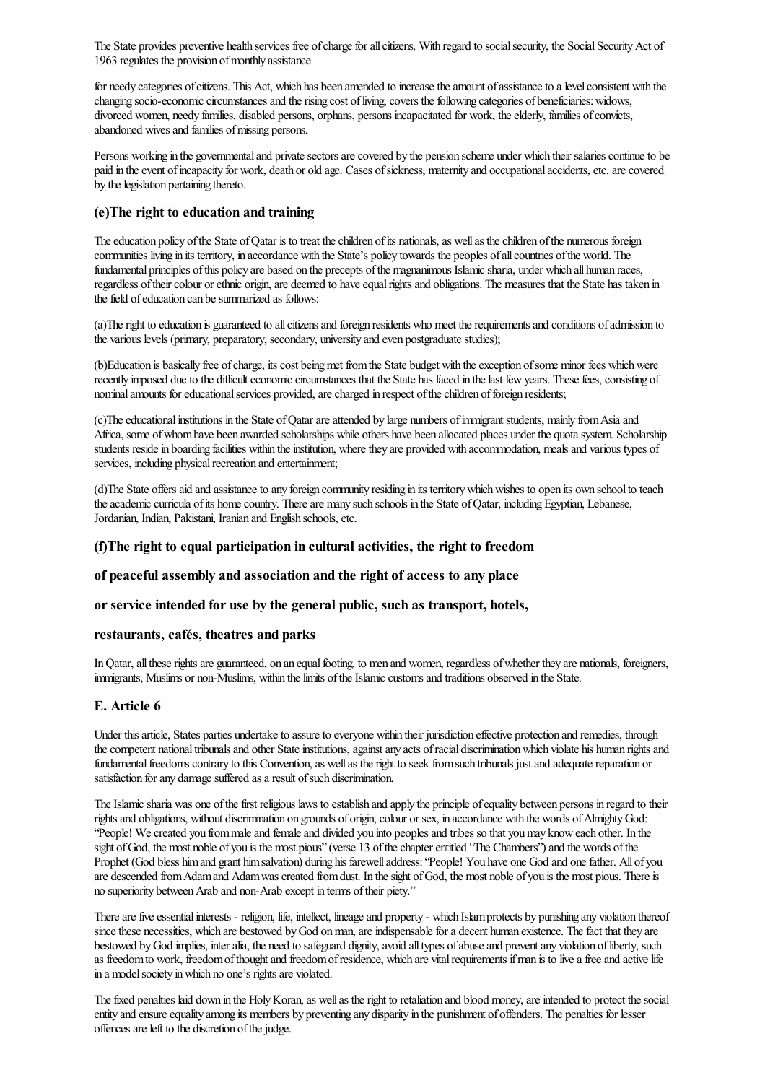The State provides preventive health services free of charge for all citizens. With regard to social security, the Social Security Act of 1963 regulates the provision of monthly assistance

for needy categories of citizens. This Act, which has been amended to increase the amount of assistance to a level consistent with the changing socio-economic circumstances and the rising cost of living, covers the following categories of beneficiaries: widows, divorced women, needy families, disabled persons, orphans, persons incapacitated for work, theelderly, families ofconvicts, abandoned wives and families of missing persons.

Persons working in the governmental and private sectors are covered by the pension scheme under which their salaries continue to be paid in the event of incapacity for work, death or old age. Cases of sickness, maternity and occupational accidents, etc. are covered by the legislation pertaining thereto.

# (e)The right to education and training

The education policy of the State of Qatar is to treat the children of its nationals, as well as the children of the numerous foreign communities living in its territory, in accordance with the State's policy towards the peoples ofallcountries ofthe world. The fundamental principles of this policy are based on the precepts of the magnanimous Islamic sharia, under which all human races, regardless of their colour or ethnic origin, are deemed to have equal rights and obligations. The measures that the State has taken in the field of education can be summarized as follows:

(a)The right to education is guaranteed to all citizens and foreign residents who meet the requirements and conditions of admission to the various levels (primary, preparatory, secondary, university and even postgraduate studies);

(b)Education is basically free of charge, its cost being met from the State budget with the exception of some minor fees which were recently imposed due to the difficult economic circumstances that the State has faced in the last few years. These fees, consisting of nominal amounts for educational services provided, are charged in respect of the children of foreign residents;

(c)The educational institutions in the State of Qatar are attended by large numbers of immigrant students, mainly from Asia and Africa, some of whom have been awarded scholarships while others have been allocated places under the quota system. Scholarship students reside in boarding facilities within the institution, where they are provided with accommodation, meals and various types of services, including physical recreation and entertainment;

(d)The State offers aid and assistance to any foreign community residing in its territory which wishes to open its own school to teach the academic curricula of its home country. There are many such schools in the State of Qatar, including Egyptian, Lebanese, Jordanian, Indian, Pakistani, Iranian and English schools, etc.

# (f)The right to equal participation in cultural activities, the right to freedom

# of peaceful assembly and association and the right of access to any place

# or service intended for use by the general public, such as transport, hotels,

#### restaurants, cafés, theatres and parks

In Qatar, all these rights are guaranteed, on an equal footing, to men and women, regardless of whether they are nationals, foreigners, immigrants, Muslims or non-Muslims, within the limits of the Islamic customs and traditions observed in the State.

# E. Article 6

Under this article, States parties undertake to assure to everyone within their jurisdiction effective protection and remedies, through the competent national tribunals and other State institutions, against any acts of racial discrimination which violate his human rights and fundamental freedoms contrary to this Convention, as well as the right to seek from such tribunals just and adequate reparation or satisfaction for any damage suffered as a result of such discrimination.

The Islamic sharia was one of the first religious laws to establish and apply the principle of equality between persons in regard to their rights and obligations, without discrimination on grounds of origin, colour or sex, in accordance with the words of Almighty God: "People! Wecreated you frommaleand femaleand divided you into peoplesand tribes so that youmay knoweach other. In the sight of God, the most noble of you is the most pious" (verse 13 of the chapter entitled "The Chambers") and the words of the Prophet (God bless him and grant him salvation) during his farewell address: "People! You have one God and one father. All of you are descended from Adam and Adam was created from dust. In the sight of God, the most noble of you is the most pious. There is no superiority between Arab and non-Arab except in terms of their piety."

There are five essential interests - religion, life, intellect, lineage and property - which Islam protects by punishing any violation thereof since these necessities, which are bestowed by God on man, are indispensable for a decent human existence. The fact that they are bestowed by God implies, inter alia, the need to safeguard dignity, avoid all types of abuse and prevent any violation of liberty, such as freedom to work, freedom of thought and freedom of residence, which are vital requirements if man is to live a free and active life in a model society in which no one's rights are violated.

The fixed penalties laid down in the Holy Koran, as well as the right to retaliation and blood money, are intended to protect the social entity and ensure equality among its members by preventing any disparity in the punishment of offenders. The penalties for lesser offences are left to the discretion of the judge.